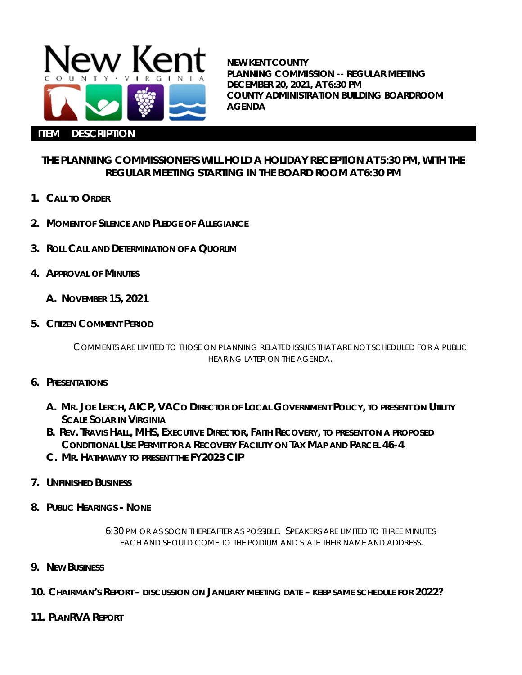

**NEW KENT COUNTY PLANNING COMMISSION -- REGULAR MEETING DECEMBER 20, 2021, AT 6:30 PM COUNTY ADMINISTRATION BUILDING BOARDROOM AGENDA**

## **THE PLANNING COMMISSIONERS WILL HOLD A HOLIDAY RECEPTION AT 5:30 PM, WITH THE REGULAR MEETING STARTING IN THE BOARD ROOM AT 6:30 PM**

- **1. CALL TO ORDER**
- **2. MOMENT OF SILENCE AND PLEDGE OF ALLEGIANCE**
- **3. ROLL CALL AND DETERMINATION OF A QUORUM**
- **4. APPROVAL OF MINUTES**
	- **A. NOVEMBER 15, 2021**
- **5. CITIZEN COMMENT PERIOD**

COMMENTS ARE LIMITED TO THOSE ON PLANNING RELATED ISSUES THAT ARE NOT SCHEDULED FOR A PUBLIC HEARING LATER ON THE AGENDA.

- **6. PRESENTATIONS**
	- **A. MR. JOE LERCH, AICP, VACO DIRECTOR OF LOCAL GOVERNMENT POLICY, TO PRESENT ON UTILITY SCALE SOLAR IN VIRGINIA**
	- **B. REV. TRAVIS HALL, MHS, EXECUTIVE DIRECTOR, FAITH RECOVERY, TO PRESENT ON A PROPOSED CONDITIONAL USE PERMIT FOR A RECOVERY FACILITY ON TAX MAP AND PARCEL 46-4**
	- **C. MR. HATHAWAY TO PRESENT THE FY2023 CIP**
- **7. UNFINISHED BUSINESS**
- **8. PUBLIC HEARINGS - NONE**

6:30 PM OR AS SOON THEREAFTER AS POSSIBLE. SPEAKERS ARE LIMITED TO THREE MINUTES EACH AND SHOULD COME TO THE PODIUM AND STATE THEIR NAME AND ADDRESS.

- **9. NEW BUSINESS**
- **10. CHAIRMAN'S REPORT – DISCUSSION ON JANUARY MEETING DATE – KEEP SAME SCHEDULE FOR 2022?**
- **11. PLANRVA REPORT**